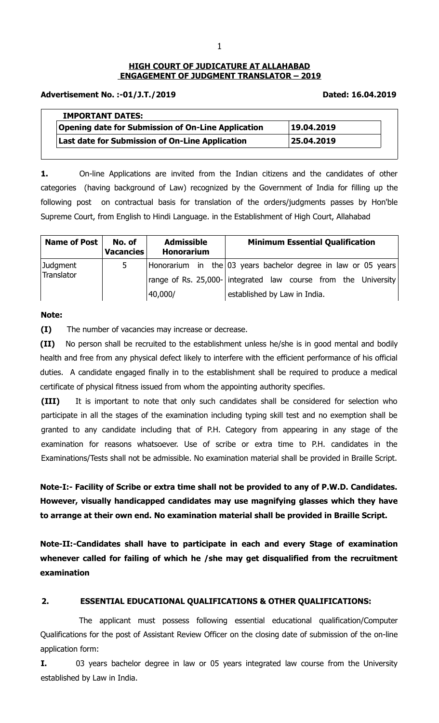## **HIGH COURT OF JUDICATURE AT ALLAHABAD ENGAGEMENT OF JUDGMENT TRANSLATOR – 2019**

### **Advertisement No. :-01/J.T./2019 Dated: 16.04.2019**

| <b>IMPORTANT DATES:</b>                                   |            |
|-----------------------------------------------------------|------------|
| <b>Opening date for Submission of On-Line Application</b> | 19.04.2019 |
| Last date for Submission of On-Line Application           | 25.04.2019 |

**1.** On-line Applications are invited from the Indian citizens and the candidates of other categories (having background of Law) recognized by the Government of India for filling up the following post on contractual basis for translation of the orders/judgments passes by Hon'ble Supreme Court, from English to Hindi Language. in the Establishment of High Court, Allahabad

| Name of Post           | No. of<br><b>Vacancies</b> | <b>Admissible</b><br><b>Honorarium</b> | <b>Minimum Essential Qualification</b>                                                                                                                            |
|------------------------|----------------------------|----------------------------------------|-------------------------------------------------------------------------------------------------------------------------------------------------------------------|
| Judgment<br>Translator | 5                          | 40,000/                                | Honorarium in the $03$ years bachelor degree in law or 05 years<br>range of Rs. 25,000- integrated law course from the University<br>established by Law in India. |

## **Note:**

**(I)** The number of vacancies may increase or decrease.

**(II)** No person shall be recruited to the establishment unless he/she is in good mental and bodily health and free from any physical defect likely to interfere with the efficient performance of his official duties. A candidate engaged finally in to the establishment shall be required to produce a medical certificate of physical fitness issued from whom the appointing authority specifies.

**(III)** It is important to note that only such candidates shall be considered for selection who participate in all the stages of the examination including typing skill test and no exemption shall be granted to any candidate including that of P.H. Category from appearing in any stage of the examination for reasons whatsoever. Use of scribe or extra time to P.H. candidates in the Examinations/Tests shall not be admissible. No examination material shall be provided in Braille Script.

**Note-I:- Facility of Scribe or extra time shall not be provided to any of P.W.D. Candidates. However, visually handicapped candidates may use magnifying glasses which they have to arrange at their own end. No examination material shall be provided in Braille Script.** 

**Note-II:-Candidates shall have to participate in each and every Stage of examination whenever called for failing of which he /she may get disqualified from the recruitment examination**

## **2. ESSENTIAL EDUCATIONAL QUALIFICATIONS & OTHER QUALIFICATIONS:**

The applicant must possess following essential educational qualification/Computer Qualifications for the post of Assistant Review Officer on the closing date of submission of the on-line application form:

**I.** 03 years bachelor degree in law or 05 years integrated law course from the University established by Law in India.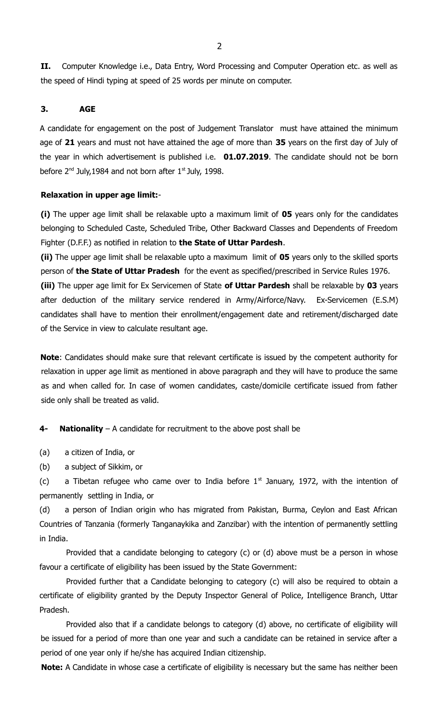**II.** Computer Knowledge i.e., Data Entry, Word Processing and Computer Operation etc. as well as the speed of Hindi typing at speed of 25 words per minute on computer.

## **3. AGE**

A candidate for engagement on the post of Judgement Translator must have attained the minimum age of **21** years and must not have attained the age of more than **35** years on the first day of July of the year in which advertisement is published i.e. **01.07.2019**. The candidate should not be born before  $2^{nd}$  July, 1984 and not born after  $1^{st}$  July, 1998.

#### **Relaxation in upper age limit:**-

**(i)** The upper age limit shall be relaxable upto a maximum limit of **05** years only for the candidates belonging to Scheduled Caste, Scheduled Tribe, Other Backward Classes and Dependents of Freedom Fighter (D.F.F.) as notified in relation to **the State of Uttar Pardesh**.

**(ii)** The upper age limit shall be relaxable upto a maximum limit of **05** years only to the skilled sports person of **the State of Uttar Pradesh** for the event as specified/prescribed in Service Rules 1976. **(iii)** The upper age limit for Ex Servicemen of State **of Uttar Pardesh** shall be relaxable by **03** years after deduction of the military service rendered in Army/Airforce/Navy. Ex-Servicemen (E.S.M) candidates shall have to mention their enrollment/engagement date and retirement/discharged date of the Service in view to calculate resultant age.

**Note**: Candidates should make sure that relevant certificate is issued by the competent authority for relaxation in upper age limit as mentioned in above paragraph and they will have to produce the same as and when called for. In case of women candidates, caste/domicile certificate issued from father side only shall be treated as valid.

**4- Nationality** – A candidate for recruitment to the above post shall be

(a) a citizen of India, or

(b) a subject of Sikkim, or

(c) a Tibetan refugee who came over to India before  $1<sup>st</sup>$  January, 1972, with the intention of permanently settling in India, or

(d) a person of Indian origin who has migrated from Pakistan, Burma, Ceylon and East African Countries of Tanzania (formerly Tanganaykika and Zanzibar) with the intention of permanently settling in India.

Provided that a candidate belonging to category (c) or (d) above must be a person in whose favour a certificate of eligibility has been issued by the State Government:

Provided further that a Candidate belonging to category (c) will also be required to obtain a certificate of eligibility granted by the Deputy Inspector General of Police, Intelligence Branch, Uttar Pradesh.

Provided also that if a candidate belongs to category (d) above, no certificate of eligibility will be issued for a period of more than one year and such a candidate can be retained in service after a period of one year only if he/she has acquired Indian citizenship.

**Note:** A Candidate in whose case a certificate of eligibility is necessary but the same has neither been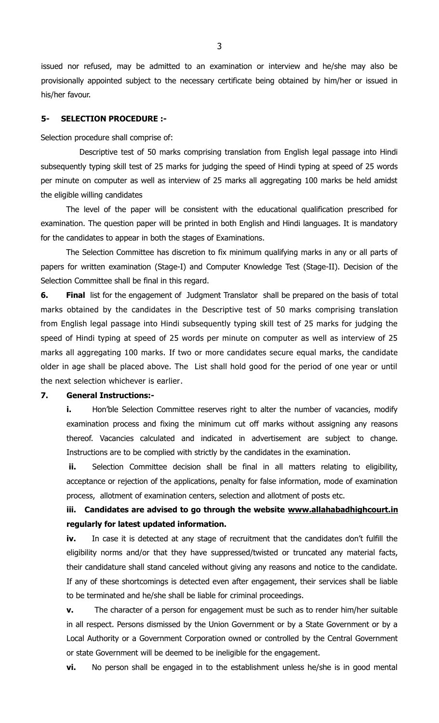issued nor refused, may be admitted to an examination or interview and he/she may also be provisionally appointed subject to the necessary certificate being obtained by him/her or issued in his/her favour.

## **5- SELECTION PROCEDURE :-**

Selection procedure shall comprise of:

Descriptive test of 50 marks comprising translation from English legal passage into Hindi subsequently typing skill test of 25 marks for judging the speed of Hindi typing at speed of 25 words per minute on computer as well as interview of 25 marks all aggregating 100 marks be held amidst the eligible willing candidates

The level of the paper will be consistent with the educational qualification prescribed for examination. The question paper will be printed in both English and Hindi languages. It is mandatory for the candidates to appear in both the stages of Examinations.

The Selection Committee has discretion to fix minimum qualifying marks in any or all parts of papers for written examination (Stage-I) and Computer Knowledge Test (Stage-II). Decision of the Selection Committee shall be final in this regard.

**6. Final** list for the engagement of Judgment Translator shall be prepared on the basis of total marks obtained by the candidates in the Descriptive test of 50 marks comprising translation from English legal passage into Hindi subsequently typing skill test of 25 marks for judging the speed of Hindi typing at speed of 25 words per minute on computer as well as interview of 25 marks all aggregating 100 marks. If two or more candidates secure equal marks, the candidate older in age shall be placed above. The List shall hold good for the period of one year or until the next selection whichever is earlier.

## **7. General Instructions:-**

**i.** Hon'ble Selection Committee reserves right to alter the number of vacancies, modify examination process and fixing the minimum cut off marks without assigning any reasons thereof. Vacancies calculated and indicated in advertisement are subject to change. Instructions are to be complied with strictly by the candidates in the examination.

**ii.** Selection Committee decision shall be final in all matters relating to eligibility, acceptance or rejection of the applications, penalty for false information, mode of examination process, allotment of examination centers, selection and allotment of posts etc.

# **iii. Candidates are advised to go through the website [www.allahabadhighcourt.in](http://www.allahabadhighcourt.in/) regularly for latest updated information.**

iv. In case it is detected at any stage of recruitment that the candidates don't fulfill the eligibility norms and/or that they have suppressed/twisted or truncated any material facts, their candidature shall stand canceled without giving any reasons and notice to the candidate. If any of these shortcomings is detected even after engagement, their services shall be liable to be terminated and he/she shall be liable for criminal proceedings.

**v.** The character of a person for engagement must be such as to render him/her suitable in all respect. Persons dismissed by the Union Government or by a State Government or by a Local Authority or a Government Corporation owned or controlled by the Central Government or state Government will be deemed to be ineligible for the engagement.

**vi.** No person shall be engaged in to the establishment unless he/she is in good mental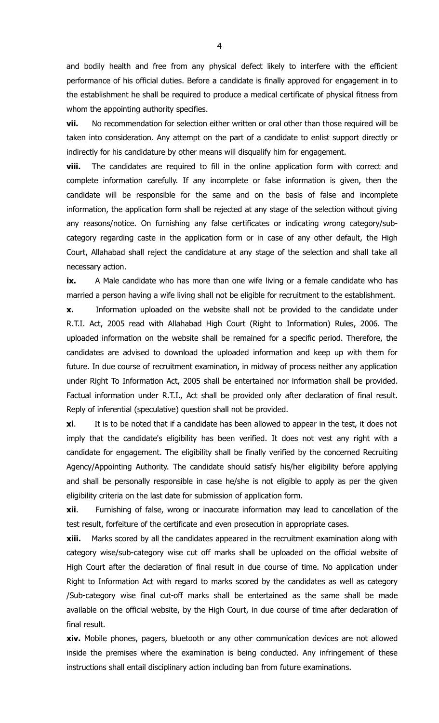and bodily health and free from any physical defect likely to interfere with the efficient performance of his official duties. Before a candidate is finally approved for engagement in to the establishment he shall be required to produce a medical certificate of physical fitness from whom the appointing authority specifies.

**vii.** No recommendation for selection either written or oral other than those required will be taken into consideration. Any attempt on the part of a candidate to enlist support directly or indirectly for his candidature by other means will disqualify him for engagement.

**viii.** The candidates are required to fill in the online application form with correct and complete information carefully. If any incomplete or false information is given, then the candidate will be responsible for the same and on the basis of false and incomplete information, the application form shall be rejected at any stage of the selection without giving any reasons/notice. On furnishing any false certificates or indicating wrong category/subcategory regarding caste in the application form or in case of any other default, the High Court, Allahabad shall reject the candidature at any stage of the selection and shall take all necessary action.

**ix.** A Male candidate who has more than one wife living or a female candidate who has married a person having a wife living shall not be eligible for recruitment to the establishment.

**x.** Information uploaded on the website shall not be provided to the candidate under R.T.I. Act, 2005 read with Allahabad High Court (Right to Information) Rules, 2006. The uploaded information on the website shall be remained for a specific period. Therefore, the candidates are advised to download the uploaded information and keep up with them for future. In due course of recruitment examination, in midway of process neither any application under Right To Information Act, 2005 shall be entertained nor information shall be provided. Factual information under R.T.I., Act shall be provided only after declaration of final result. Reply of inferential (speculative) question shall not be provided.

**xi**. It is to be noted that if a candidate has been allowed to appear in the test, it does not imply that the candidate's eligibility has been verified. It does not vest any right with a candidate for engagement. The eligibility shall be finally verified by the concerned Recruiting Agency/Appointing Authority. The candidate should satisfy his/her eligibility before applying and shall be personally responsible in case he/she is not eligible to apply as per the given eligibility criteria on the last date for submission of application form.

**xii**. Furnishing of false, wrong or inaccurate information may lead to cancellation of the test result, forfeiture of the certificate and even prosecution in appropriate cases.

**xiii.** Marks scored by all the candidates appeared in the recruitment examination along with category wise/sub-category wise cut off marks shall be uploaded on the official website of High Court after the declaration of final result in due course of time. No application under Right to Information Act with regard to marks scored by the candidates as well as category /Sub-category wise final cut-off marks shall be entertained as the same shall be made available on the official website, by the High Court, in due course of time after declaration of final result.

**xiv.** Mobile phones, pagers, bluetooth or any other communication devices are not allowed inside the premises where the examination is being conducted. Any infringement of these instructions shall entail disciplinary action including ban from future examinations.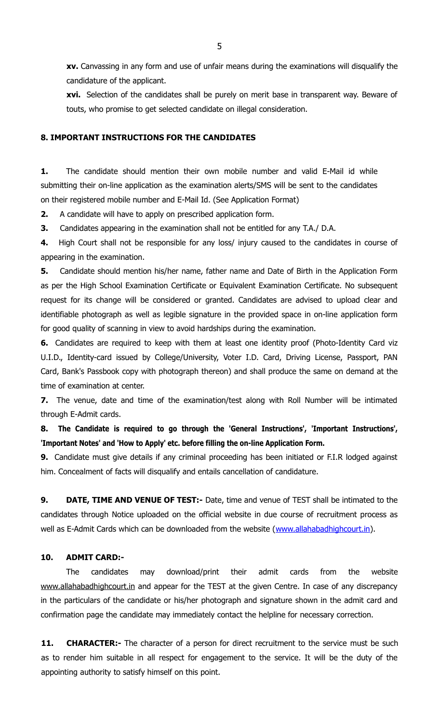**xv.** Canvassing in any form and use of unfair means during the examinations will disqualify the candidature of the applicant.

**xvi.** Selection of the candidates shall be purely on merit base in transparent way. Beware of touts, who promise to get selected candidate on illegal consideration.

#### **8. IMPORTANT INSTRUCTIONS FOR THE CANDIDATES**

**1.** The candidate should mention their own mobile number and valid E-Mail id while submitting their on-line application as the examination alerts/SMS will be sent to the candidates on their registered mobile number and E-Mail Id. (See Application Format)

**2.** A candidate will have to apply on prescribed application form.

**3.** Candidates appearing in the examination shall not be entitled for any T.A./ D.A.

**4.** High Court shall not be responsible for any loss/ injury caused to the candidates in course of appearing in the examination.

**5.** Candidate should mention his/her name, father name and Date of Birth in the Application Form as per the High School Examination Certificate or Equivalent Examination Certificate. No subsequent request for its change will be considered or granted. Candidates are advised to upload clear and identifiable photograph as well as legible signature in the provided space in on-line application form for good quality of scanning in view to avoid hardships during the examination.

**6.** Candidates are required to keep with them at least one identity proof (Photo-Identity Card viz U.I.D., Identity-card issued by College/University, Voter I.D. Card, Driving License, Passport, PAN Card, Bank's Passbook copy with photograph thereon) and shall produce the same on demand at the time of examination at center.

**7.** The venue, date and time of the examination/test along with Roll Number will be intimated through E-Admit cards.

**8. The Candidate is required to go through the 'General Instructions', 'Important Instructions', 'Important Notes' and 'How to Apply' etc. before filling the on-line Application Form.**

**9.** Candidate must give details if any criminal proceeding has been initiated or F.I.R lodged against him. Concealment of facts will disqualify and entails cancellation of candidature.

**9. DATE, TIME AND VENUE OF TEST:-** Date, time and venue of TEST shall be intimated to the candidates through Notice uploaded on the official website in due course of recruitment process as well as E-Admit Cards which can be downloaded from the website [\(www.allahabadhighcourt.in\)](http://www.allahabadhighcourt.in/).

#### **10. ADMIT CARD:-**

The candidates may download/print their admit cards from the website [www.allahabadhighcourt.in](http://www.allahabadhighcourt.in/) and appear for the TEST at the given Centre. In case of any discrepancy in the particulars of the candidate or his/her photograph and signature shown in the admit card and confirmation page the candidate may immediately contact the helpline for necessary correction.

**11. CHARACTER:-** The character of a person for direct recruitment to the service must be such as to render him suitable in all respect for engagement to the service. It will be the duty of the appointing authority to satisfy himself on this point.